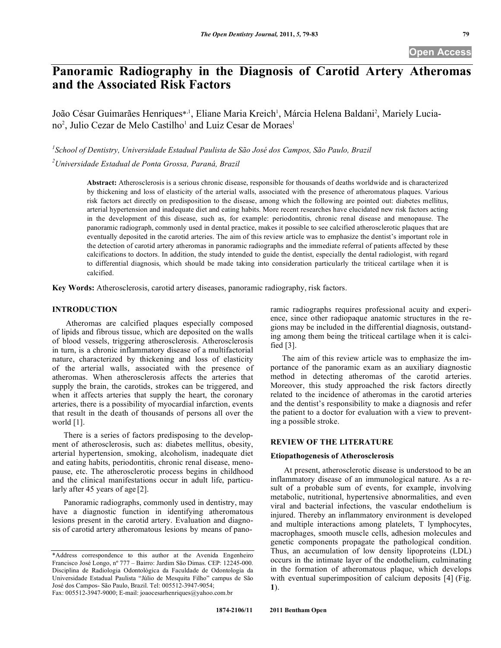# **Panoramic Radiography in the Diagnosis of Carotid Artery Atheromas and the Associated Risk Factors**

João César Guimarães Henriques\*<sup>1</sup>, Eliane Maria Kreich<sup>1</sup>, Márcia Helena Baldani<sup>2</sup>, Mariely Luciano<sup>2</sup>, Julio Cezar de Melo Castilho<sup>1</sup> and Luiz Cesar de Moraes<sup>1</sup>

*1 School of Dentistry, Universidade Estadual Paulista de São José dos Campos, São Paulo, Brazil 2 Universidade Estadual de Ponta Grossa, Paraná, Brazil*

> **Abstract:** Atherosclerosis is a serious chronic disease, responsible for thousands of deaths worldwide and is characterized by thickening and loss of elasticity of the arterial walls, associated with the presence of atheromatous plaques. Various risk factors act directly on predisposition to the disease, among which the following are pointed out: diabetes mellitus, arterial hypertension and inadequate diet and eating habits. More recent researches have elucidated new risk factors acting in the development of this disease, such as, for example: periodontitis, chronic renal disease and menopause. The panoramic radiograph, commonly used in dental practice, makes it possible to see calcified atherosclerotic plaques that are eventually deposited in the carotid arteries. The aim of this review article was to emphasize the dentist's important role in the detection of carotid artery atheromas in panoramic radiographs and the immediate referral of patients affected by these calcifications to doctors. In addition, the study intended to guide the dentist, especially the dental radiologist, with regard to differential diagnosis, which should be made taking into consideration particularly the triticeal cartilage when it is calcified.

**Key Words:** Atherosclerosis, carotid artery diseases, panoramic radiography, risk factors.

## **INTRODUCTION**

Atheromas are calcified plaques especially composed of lipids and fibrous tissue, which are deposited on the walls of blood vessels, triggering atherosclerosis. Atherosclerosis in turn, is a chronic inflammatory disease of a multifactorial nature, characterized by thickening and loss of elasticity of the arterial walls, associated with the presence of atheromas. When atherosclerosis affects the arteries that supply the brain, the carotids, strokes can be triggered, and when it affects arteries that supply the heart, the coronary arteries, there is a possibility of myocardial infarction, events that result in the death of thousands of persons all over the world [1].

There is a series of factors predisposing to the development of atherosclerosis, such as: diabetes mellitus, obesity, arterial hypertension, smoking, alcoholism, inadequate diet and eating habits, periodontitis, chronic renal disease, menopause, etc. The atherosclerotic process begins in childhood and the clinical manifestations occur in adult life, particularly after 45 years of age [2].

Panoramic radiographs, commonly used in dentistry, may have a diagnostic function in identifying atheromatous lesions present in the carotid artery. Evaluation and diagnosis of carotid artery atheromatous lesions by means of panoramic radiographs requires professional acuity and experience, since other radiopaque anatomic structures in the regions may be included in the differential diagnosis, outstanding among them being the triticeal cartilage when it is calcified [3].

The aim of this review article was to emphasize the importance of the panoramic exam as an auxiliary diagnostic method in detecting atheromas of the carotid arteries. Moreover, this study approached the risk factors directly related to the incidence of atheromas in the carotid arteries and the dentist's responsibility to make a diagnosis and refer the patient to a doctor for evaluation with a view to preventing a possible stroke.

# **REVIEW OF THE LITERATURE**

#### **Etiopathogenesis of Atherosclerosis**

 At present, atherosclerotic disease is understood to be an inflammatory disease of an immunological nature. As a result of a probable sum of events, for example, involving metabolic, nutritional, hypertensive abnormalities, and even viral and bacterial infections, the vascular endothelium is injured. Thereby an inflammatory environment is developed and multiple interactions among platelets, T lymphocytes, macrophages, smooth muscle cells, adhesion molecules and genetic components propagate the pathological condition. Thus, an accumulation of low density lipoproteins (LDL) occurs in the intimate layer of the endothelium, culminating in the formation of atheromatous plaque, which develops with eventual superimposition of calcium deposits [4] (Fig. **1**).

<sup>\*</sup>Address correspondence to this author at the Avenida Engenheiro Francisco José Longo, nº 777 – Bairro: Jardim São Dimas. CEP: 12245-000. Disciplina de Radiologia Odontológica da Faculdade de Odontologia da Universidade Estadual Paulista "Júlio de Mesquita Filho" campus de São José dos Campos- São Paulo, Brazil. Tel: 005512-3947-9054; Fax: 005512-3947-9000; E-mail: joaocesarhenriques@yahoo.com.br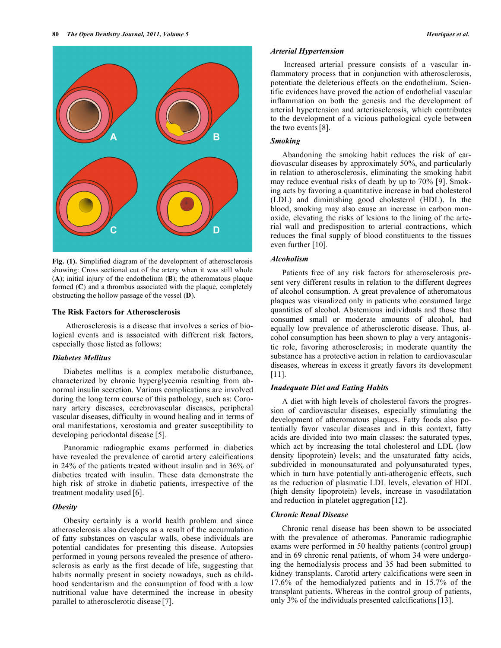

**Fig. (1).** Simplified diagram of the development of atherosclerosis showing: Cross sectional cut of the artery when it was still whole (**A**); initial injury of the endothelium (**B**); the atheromatous plaque formed (**C**) and a thrombus associated with the plaque, completely obstructing the hollow passage of the vessel (**D**).

#### **The Risk Factors for Atherosclerosis**

 Atherosclerosis is a disease that involves a series of biological events and is associated with different risk factors, especially those listed as follows:

## *Diabetes Mellitus*

Diabetes mellitus is a complex metabolic disturbance, characterized by chronic hyperglycemia resulting from abnormal insulin secretion. Various complications are involved during the long term course of this pathology, such as: Coronary artery diseases, cerebrovascular diseases, peripheral vascular diseases, difficulty in wound healing and in terms of oral manifestations, xerostomia and greater susceptibility to developing periodontal disease [5].

Panoramic radiographic exams performed in diabetics have revealed the prevalence of carotid artery calcifications in 24% of the patients treated without insulin and in 36% of diabetics treated with insulin. These data demonstrate the high risk of stroke in diabetic patients, irrespective of the treatment modality used [6].

# *Obesity*

Obesity certainly is a world health problem and since atherosclerosis also develops as a result of the accumulation of fatty substances on vascular walls, obese individuals are potential candidates for presenting this disease. Autopsies performed in young persons revealed the presence of atherosclerosis as early as the first decade of life, suggesting that habits normally present in society nowadays, such as childhood sendentarism and the consumption of food with a low nutritional value have determined the increase in obesity parallel to atherosclerotic disease [7].

# *Arterial Hypertension*

 Increased arterial pressure consists of a vascular inflammatory process that in conjunction with atherosclerosis, potentiate the deleterious effects on the endothelium. Scientific evidences have proved the action of endothelial vascular inflammation on both the genesis and the development of arterial hypertension and arteriosclerosis, which contributes to the development of a vicious pathological cycle between the two events[8].

## *Smoking*

Abandoning the smoking habit reduces the risk of cardiovascular diseases by approximately 50%, and particularly in relation to atherosclerosis, eliminating the smoking habit may reduce eventual risks of death by up to 70% [9]. Smoking acts by favoring a quantitative increase in bad cholesterol (LDL) and diminishing good cholesterol (HDL). In the blood, smoking may also cause an increase in carbon monoxide, elevating the risks of lesions to the lining of the arterial wall and predisposition to arterial contractions, which reduces the final supply of blood constituents to the tissues even further [10]*.*

## *Alcoholism*

Patients free of any risk factors for atherosclerosis present very different results in relation to the different degrees of alcohol consumption. A great prevalence of atheromatous plaques was visualized only in patients who consumed large quantities of alcohol. Abstemious individuals and those that consumed small or moderate amounts of alcohol, had equally low prevalence of atherosclerotic disease. Thus, alcohol consumption has been shown to play a very antagonistic role, favoring atherosclerosis; in moderate quantity the substance has a protective action in relation to cardiovascular diseases, whereas in excess it greatly favors its development [11].

# *Inadequate Diet and Eating Habits*

A diet with high levels of cholesterol favors the progression of cardiovascular diseases, especially stimulating the development of atheromatous plaques. Fatty foods also potentially favor vascular diseases and in this context, fatty acids are divided into two main classes: the saturated types, which act by increasing the total cholesterol and LDL (low density lipoprotein) levels; and the unsaturated fatty acids, subdivided in monounsaturated and polyunsaturated types, which in turn have potentially anti-atherogenic effects, such as the reduction of plasmatic LDL levels, elevation of HDL (high density lipoprotein) levels, increase in vasodilatation and reduction in platelet aggregation [12].

## *Chronic Renal Disease*

Chronic renal disease has been shown to be associated with the prevalence of atheromas. Panoramic radiographic exams were performed in 50 healthy patients (control group) and in 69 chronic renal patients, of whom 34 were undergoing the hemodialysis process and 35 had been submitted to kidney transplants. Carotid artery calcifications were seen in 17.6% of the hemodialyzed patients and in 15.7% of the transplant patients. Whereas in the control group of patients, only 3% of the individuals presented calcifications[13].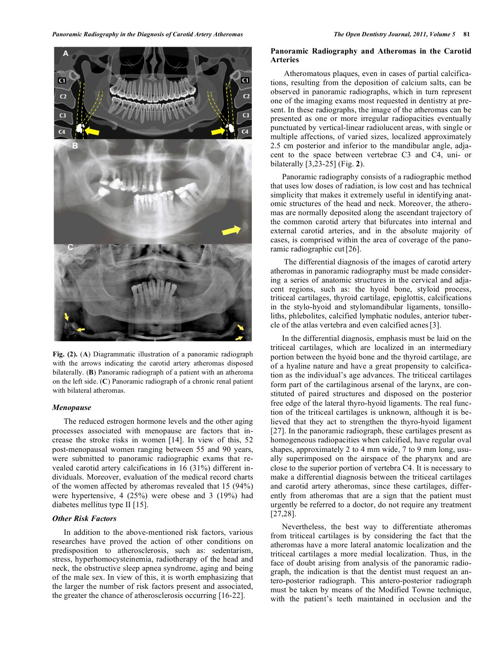

**Fig. (2).** (**A**) Diagrammatic illustration of a panoramic radiograph with the arrows indicating the carotid artery atheromas disposed bilaterally. (**B**) Panoramic radiograph of a patient with an atheroma on the left side. (**C**) Panoramic radiograph of a chronic renal patient with bilateral atheromas.

#### *Menopause*

The reduced estrogen hormone levels and the other aging processes associated with menopause are factors that increase the stroke risks in women [14]. In view of this, 52 post-menopausal women ranging between 55 and 90 years, were submitted to panoramic radiographic exams that revealed carotid artery calcifications in 16 (31%) different individuals. Moreover, evaluation of the medical record charts of the women affected by atheromas revealed that 15 (94%) were hypertensive, 4 (25%) were obese and 3 (19%) had diabetes mellitus type II [15].

## *Other Risk Factors*

In addition to the above-mentioned risk factors, various researches have proved the action of other conditions on predisposition to atherosclerosis, such as: sedentarism, stress, hyperhomocysteinemia, radiotherapy of the head and neck, the obstructive sleep apnea syndrome, aging and being of the male sex. In view of this, it is worth emphasizing that the larger the number of risk factors present and associated, the greater the chance of atherosclerosis occurring [16-22].

## **Panoramic Radiography and Atheromas in the Carotid Arteries**

 Atheromatous plaques, even in cases of partial calcifications, resulting from the deposition of calcium salts, can be observed in panoramic radiographs, which in turn represent one of the imaging exams most requested in dentistry at present. In these radiographs, the image of the atheromas can be presented as one or more irregular radiopacities eventually punctuated by vertical-linear radiolucent areas, with single or multiple affections, of varied sizes, localized approximately 2.5 cm posterior and inferior to the mandibular angle, adjacent to the space between vertebrae C3 and C4, uni- or bilaterally [3,23-25] (Fig. **2**).

Panoramic radiography consists of a radiographic method that uses low doses of radiation, is low cost and has technical simplicity that makes it extremely useful in identifying anatomic structures of the head and neck. Moreover, the atheromas are normally deposited along the ascendant trajectory of the common carotid artery that bifurcates into internal and external carotid arteries, and in the absolute majority of cases, is comprised within the area of coverage of the panoramic radiographic cut<sup>[26]</sup>.

 The differential diagnosis of the images of carotid artery atheromas in panoramic radiography must be made considering a series of anatomic structures in the cervical and adjacent regions, such as: the hyoid bone, styloid process, triticeal cartilages, thyroid cartilage, epiglottis, calcifications in the stylo-hyoid and stylomandibular ligaments, tonsilloliths, phlebolites, calcified lymphatic nodules, anterior tubercle of the atlas vertebra and even calcified acnes[3].

In the differential diagnosis, emphasis must be laid on the triticeal cartilages, which are localized in an intermediary portion between the hyoid bone and the thyroid cartilage, are of a hyaline nature and have a great propensity to calcification as the individual's age advances. The triticeal cartilages form part of the cartilaginous arsenal of the larynx, are constituted of paired structures and disposed on the posterior free edge of the lateral thyro-hyoid ligaments. The real function of the triticeal cartilages is unknown, although it is believed that they act to strengthen the thyro-hyoid ligament [27]. In the panoramic radiograph, these cartilages present as homogeneous radiopacities when calcified, have regular oval shapes, approximately 2 to 4 mm wide, 7 to 9 mm long, usually superimposed on the airspace of the pharynx and are close to the superior portion of vertebra C4. It is necessary to make a differential diagnosis between the triticeal cartilages and carotid artery atheromas, since these cartilages, differently from atheromas that are a sign that the patient must urgently be referred to a doctor, do not require any treatment [27,28].

Nevertheless, the best way to differentiate atheromas from triticeal cartilages is by considering the fact that the atheromas have a more lateral anatomic localization and the triticeal cartilages a more medial localization. Thus, in the face of doubt arising from analysis of the panoramic radiograph, the indication is that the dentist must request an antero-posterior radiograph. This antero-posterior radiograph must be taken by means of the Modified Towne technique, with the patient's teeth maintained in occlusion and the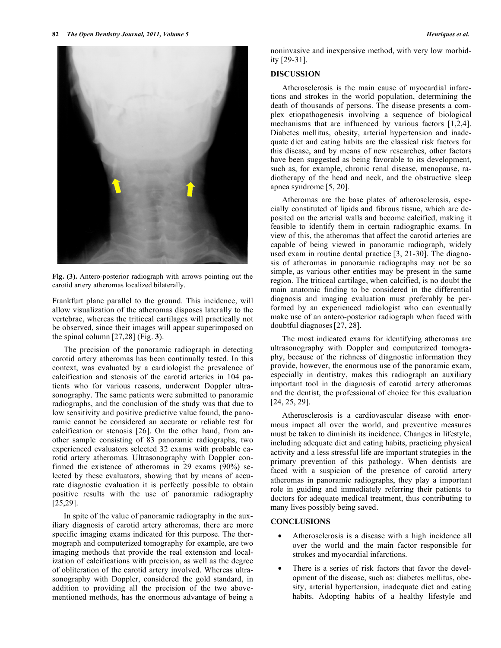

**Fig. (3).** Antero-posterior radiograph with arrows pointing out the carotid artery atheromas localized bilaterally.

Frankfurt plane parallel to the ground. This incidence, will allow visualization of the atheromas disposes laterally to the vertebrae, whereas the triticeal cartilages will practically not be observed, since their images will appear superimposed on the spinal column [27,28] (Fig. **3**).

The precision of the panoramic radiograph in detecting carotid artery atheromas has been continually tested. In this context, was evaluated by a cardiologist the prevalence of calcification and stenosis of the carotid arteries in 104 patients who for various reasons, underwent Doppler ultrasonography. The same patients were submitted to panoramic radiographs, and the conclusion of the study was that due to low sensitivity and positive predictive value found, the panoramic cannot be considered an accurate or reliable test for calcification or stenosis [26]. On the other hand, from another sample consisting of 83 panoramic radiographs, two experienced evaluators selected 32 exams with probable carotid artery atheromas. Ultrasonography with Doppler confirmed the existence of atheromas in 29 exams (90%) selected by these evaluators, showing that by means of accurate diagnostic evaluation it is perfectly possible to obtain positive results with the use of panoramic radiography [25,29].

In spite of the value of panoramic radiography in the auxiliary diagnosis of carotid artery atheromas, there are more specific imaging exams indicated for this purpose. The thermograph and computerized tomography for example, are two imaging methods that provide the real extension and localization of calcifications with precision, as well as the degree of obliteration of the carotid artery involved. Whereas ultrasonography with Doppler, considered the gold standard, in addition to providing all the precision of the two abovementioned methods, has the enormous advantage of being a noninvasive and inexpensive method, with very low morbidity [29-31].

## **DISCUSSION**

Atherosclerosis is the main cause of myocardial infarctions and strokes in the world population, determining the death of thousands of persons. The disease presents a complex etiopathogenesis involving a sequence of biological mechanisms that are influenced by various factors [1,2,4]. Diabetes mellitus, obesity, arterial hypertension and inadequate diet and eating habits are the classical risk factors for this disease, and by means of new researches, other factors have been suggested as being favorable to its development, such as, for example, chronic renal disease, menopause, radiotherapy of the head and neck, and the obstructive sleep apnea syndrome [5, 20].

Atheromas are the base plates of atherosclerosis, especially constituted of lipids and fibrous tissue, which are deposited on the arterial walls and become calcified, making it feasible to identify them in certain radiographic exams. In view of this, the atheromas that affect the carotid arteries are capable of being viewed in panoramic radiograph, widely used exam in routine dental practice [3, 21-30]. The diagnosis of atheromas in panoramic radiographs may not be so simple, as various other entities may be present in the same region. The triticeal cartilage, when calcified, is no doubt the main anatomic finding to be considered in the differential diagnosis and imaging evaluation must preferably be performed by an experienced radiologist who can eventually make use of an antero-posterior radiograph when faced with doubtful diagnoses[27, 28].

The most indicated exams for identifying atheromas are ultrasonography with Doppler and computerized tomography, because of the richness of diagnostic information they provide, however, the enormous use of the panoramic exam, especially in dentistry, makes this radiograph an auxiliary important tool in the diagnosis of carotid artery atheromas and the dentist, the professional of choice for this evaluation [24, 25, 29].

Atherosclerosis is a cardiovascular disease with enormous impact all over the world, and preventive measures must be taken to diminish its incidence. Changes in lifestyle, including adequate diet and eating habits, practicing physical activity and a less stressful life are important strategies in the primary prevention of this pathology. When dentists are faced with a suspicion of the presence of carotid artery atheromas in panoramic radiographs, they play a important role in guiding and immediately referring their patients to doctors for adequate medical treatment, thus contributing to many lives possibly being saved.

# **CONCLUSIONS**

- Atherosclerosis is a disease with a high incidence all over the world and the main factor responsible for strokes and myocardial infarctions.
- There is a series of risk factors that favor the development of the disease, such as: diabetes mellitus, obesity, arterial hypertension, inadequate diet and eating habits. Adopting habits of a healthy lifestyle and